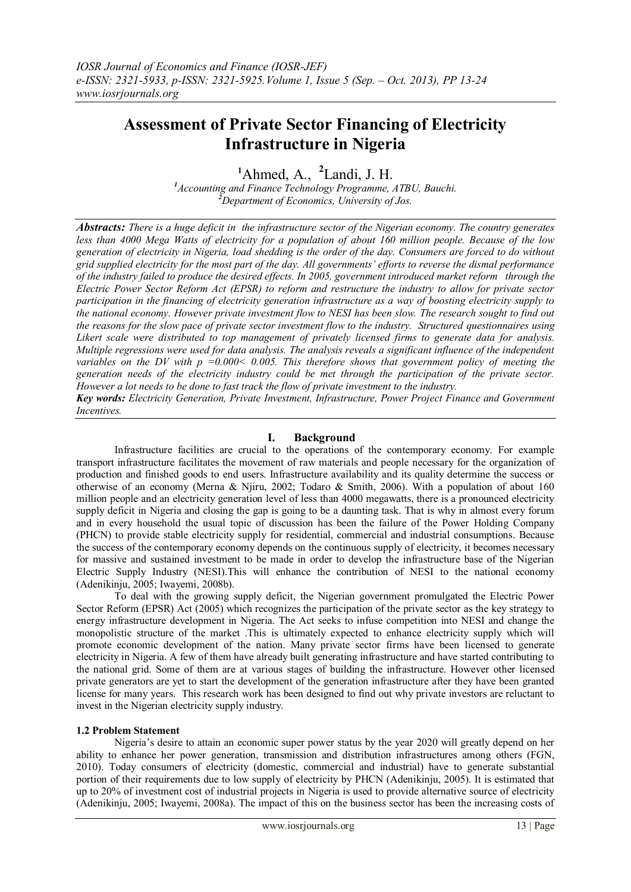# **Assessment of Private Sector Financing of Electricity Infrastructure in Nigeria**

**<sup>1</sup>**Ahmed, A., **2** Landi, J. H.

*<sup>1</sup>Accounting and Finance Technology Programme, ATBU, Bauchi. <sup>2</sup>Department of Economics, University of Jos.*

*Abstracts: There is a huge deficit in the infrastructure sector of the Nigerian economy. The country generates less than 4000 Mega Watts of electricity for a population of about 160 million people. Because of the low generation of electricity in Nigeria, load shedding is the order of the day. Consumers are forced to do without grid supplied electricity for the most part of the day. All governments' efforts to reverse the dismal performance of the industry failed to produce the desired effects. In 2005, government introduced market reform through the Electric Power Sector Reform Act (EPSR) to reform and restructure the industry to allow for private sector participation in the financing of electricity generation infrastructure as a way of boosting electricity supply to the national economy. However private investment flow to NESI has been slow. The research sought to find out the reasons for the slow pace of private sector investment flow to the industry. Structured questionnaires using Likert scale were distributed to top management of privately licensed firms to generate data for analysis. Multiple regressions were used for data analysis. The analysis reveals a significant influence of the independent variables on the DV with p =0.000< 0.005. This therefore shows that government policy of meeting the generation needs of the electricity industry could be met through the participation of the private sector. However a lot needs to be done to fast track the flow of private investment to the industry.* 

*Key words: Electricity Generation, Private Investment, Infrastructure, Power Project Finance and Government Incentives.*

# **I. Background**

Infrastructure facilities are crucial to the operations of the contemporary economy. For example transport infrastructure facilitates the movement of raw materials and people necessary for the organization of production and finished goods to end users. Infrastructure availability and its quality determine the success or otherwise of an economy (Merna & Njiru, 2002; Todaro & Smith, 2006). With a population of about 160 million people and an electricity generation level of less than 4000 megawatts, there is a pronounced electricity supply deficit in Nigeria and closing the gap is going to be a daunting task. That is why in almost every forum and in every household the usual topic of discussion has been the failure of the Power Holding Company (PHCN) to provide stable electricity supply for residential, commercial and industrial consumptions. Because the success of the contemporary economy depends on the continuous supply of electricity, it becomes necessary for massive and sustained investment to be made in order to develop the infrastructure base of the Nigerian Electric Supply Industry (NESI).This will enhance the contribution of NESI to the national economy (Adenikinju, 2005; Iwayemi, 2008b).

To deal with the growing supply deficit, the Nigerian government promulgated the Electric Power Sector Reform (EPSR) Act (2005) which recognizes the participation of the private sector as the key strategy to energy infrastructure development in Nigeria. The Act seeks to infuse competition into NESI and change the monopolistic structure of the market .This is ultimately expected to enhance electricity supply which will promote economic development of the nation. Many private sector firms have been licensed to generate electricity in Nigeria. A few of them have already built generating infrastructure and have started contributing to the national grid. Some of them are at various stages of building the infrastructure. However other licensed private generators are yet to start the development of the generation infrastructure after they have been granted license for many years. This research work has been designed to find out why private investors are reluctant to invest in the Nigerian electricity supply industry.

## **1.2 Problem Statement**

Nigeria"s desire to attain an economic super power status by the year 2020 will greatly depend on her ability to enhance her power generation, transmission and distribution infrastructures among others (FGN, 2010). Today consumers of electricity (domestic, commercial and industrial) have to generate substantial portion of their requirements due to low supply of electricity by PHCN (Adenikinju, 2005). It is estimated that up to 20% of investment cost of industrial projects in Nigeria is used to provide alternative source of electricity (Adenikinju, 2005; Iwayemi, 2008a). The impact of this on the business sector has been the increasing costs of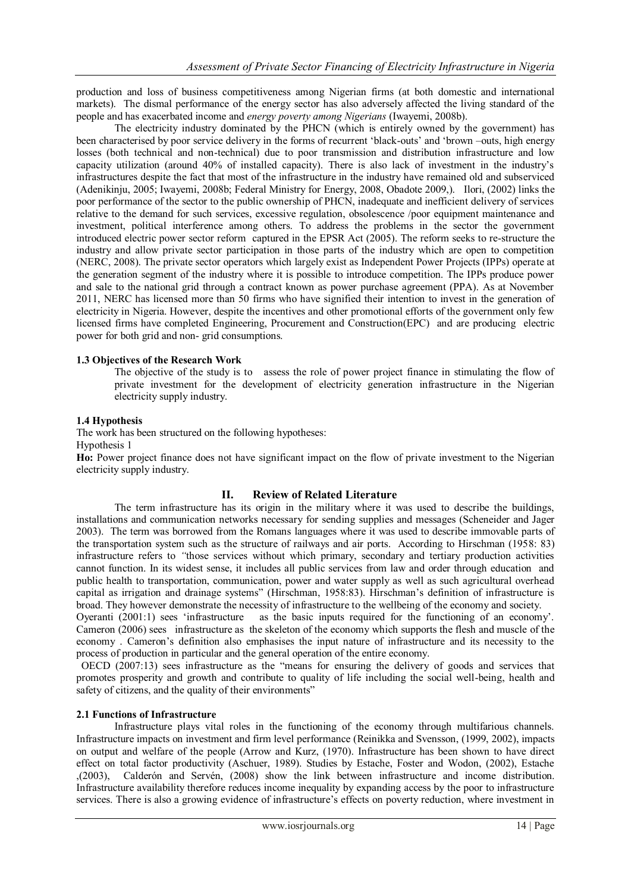production and loss of business competitiveness among Nigerian firms (at both domestic and international markets). The dismal performance of the energy sector has also adversely affected the living standard of the people and has exacerbated income and *energy poverty among Nigerians* (Iwayemi, 2008b).

The electricity industry dominated by the PHCN (which is entirely owned by the government) has been characterised by poor service delivery in the forms of recurrent 'black-outs' and 'brown –outs, high energy losses (both technical and non-technical) due to poor transmission and distribution infrastructure and low capacity utilization (around 40% of installed capacity). There is also lack of investment in the industry"s infrastructures despite the fact that most of the infrastructure in the industry have remained old and subserviced (Adenikinju, 2005; Iwayemi, 2008b; Federal Ministry for Energy, 2008, Obadote 2009,). Ilori, (2002) links the poor performance of the sector to the public ownership of PHCN, inadequate and inefficient delivery of services relative to the demand for such services, excessive regulation, obsolescence /poor equipment maintenance and investment, political interference among others. To address the problems in the sector the government introduced electric power sector reform captured in the EPSR Act (2005). The reform seeks to re-structure the industry and allow private sector participation in those parts of the industry which are open to competition (NERC, 2008). The private sector operators which largely exist as Independent Power Projects (IPPs) operate at the generation segment of the industry where it is possible to introduce competition. The IPPs produce power and sale to the national grid through a contract known as power purchase agreement (PPA). As at November 2011, NERC has licensed more than 50 firms who have signified their intention to invest in the generation of electricity in Nigeria. However, despite the incentives and other promotional efforts of the government only few licensed firms have completed Engineering, Procurement and Construction(EPC) and are producing electric power for both grid and non- grid consumptions.

## **1.3 Objectives of the Research Work**

The objective of the study is to assess the role of power project finance in stimulating the flow of private investment for the development of electricity generation infrastructure in the Nigerian electricity supply industry.

## **1.4 Hypothesis**

The work has been structured on the following hypotheses:

Hypothesis 1

**Ho:** Power project finance does not have significant impact on the flow of private investment to the Nigerian electricity supply industry.

# **II. Review of Related Literature**

The term infrastructure has its origin in the military where it was used to describe the buildings, installations and communication networks necessary for sending supplies and messages (Scheneider and Jager 2003). The term was borrowed from the Romans languages where it was used to describe immovable parts of the transportation system such as the structure of railways and air ports. According to Hirschman (1958: 83) infrastructure refers to *"*those services without which primary, secondary and tertiary production activities cannot function. In its widest sense, it includes all public services from law and order through education and public health to transportation, communication, power and water supply as well as such agricultural overhead capital as irrigation and drainage systems" (Hirschman, 1958:83). Hirschman"s definition of infrastructure is broad. They however demonstrate the necessity of infrastructure to the wellbeing of the economy and society.

Oyeranti (2001:1) sees "infrastructure as the basic inputs required for the functioning of an economy". Cameron (2006) sees infrastructure as the skeleton of the economy which supports the flesh and muscle of the economy . Cameron"s definition also emphasises the input nature of infrastructure and its necessity to the process of production in particular and the general operation of the entire economy.

 OECD (2007:13) sees infrastructure as the "means for ensuring the delivery of goods and services that promotes prosperity and growth and contribute to quality of life including the social well-being, health and safety of citizens, and the quality of their environments"

## **2.1 Functions of Infrastructure**

Infrastructure plays vital roles in the functioning of the economy through multifarious channels. Infrastructure impacts on investment and firm level performance (Reinikka and Svensson, (1999, 2002), impacts on output and welfare of the people (Arrow and Kurz, (1970). Infrastructure has been shown to have direct effect on total factor productivity (Aschuer, 1989). Studies by Estache, Foster and Wodon, (2002), Estache ,(2003), Calderón and Servén, (2008) show the link between infrastructure and income distribution. Infrastructure availability therefore reduces income inequality by expanding access by the poor to infrastructure services. There is also a growing evidence of infrastructure's effects on poverty reduction, where investment in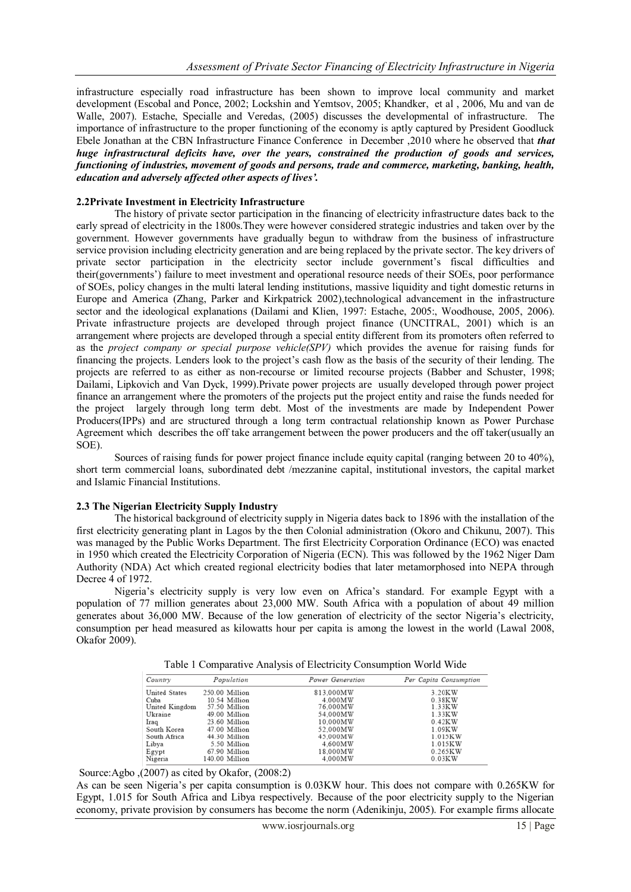infrastructure especially road infrastructure has been shown to improve local community and market development (Escobal and Ponce, 2002; Lockshin and Yemtsov, 2005; Khandker, et al , 2006, Mu and van de Walle, 2007). Estache, Specialle and Veredas, (2005) discusses the developmental of infrastructure. The importance of infrastructure to the proper functioning of the economy is aptly captured by President Goodluck Ebele Jonathan at the CBN Infrastructure Finance Conference in December ,2010 where he observed that *that huge infrastructural deficits have, over the years, constrained the production of goods and services, functioning of industries, movement of goods and persons, trade and commerce, marketing, banking, health, education and adversely affected other aspects of lives'.*

## **2.2Private Investment in Electricity Infrastructure**

The history of private sector participation in the financing of electricity infrastructure dates back to the early spread of electricity in the 1800s.They were however considered strategic industries and taken over by the government. However governments have gradually begun to withdraw from the business of infrastructure service provision including electricity generation and are being replaced by the private sector. The key drivers of private sector participation in the electricity sector include government's fiscal difficulties and their(governments") failure to meet investment and operational resource needs of their SOEs, poor performance of SOEs, policy changes in the multi lateral lending institutions, massive liquidity and tight domestic returns in Europe and America (Zhang, Parker and Kirkpatrick 2002),technological advancement in the infrastructure sector and the ideological explanations (Dailami and Klien, 1997: Estache, 2005:, Woodhouse, 2005, 2006). Private infrastructure projects are developed through project finance (UNCITRAL, 2001) which is an arrangement where projects are developed through a special entity different from its promoters often referred to as the *project company or special purpose vehicle(SPV)* which provides the avenue for raising funds for financing the projects. Lenders look to the project"s cash flow as the basis of the security of their lending. The projects are referred to as either as non-recourse or limited recourse projects (Babber and Schuster, 1998; Dailami, Lipkovich and Van Dyck, 1999).Private power projects are usually developed through power project finance an arrangement where the promoters of the projects put the project entity and raise the funds needed for the project largely through long term debt. Most of the investments are made by Independent Power Producers(IPPs) and are structured through a long term contractual relationship known as Power Purchase Agreement which describes the off take arrangement between the power producers and the off taker(usually an SOE).

Sources of raising funds for power project finance include equity capital (ranging between 20 to 40%), short term commercial loans, subordinated debt /mezzanine capital, institutional investors, the capital market and Islamic Financial Institutions.

## **2.3 The Nigerian Electricity Supply Industry**

The historical background of electricity supply in Nigeria dates back to 1896 with the installation of the first electricity generating plant in Lagos by the then Colonial administration (Okoro and Chikunu, 2007). This was managed by the Public Works Department. The first Electricity Corporation Ordinance (ECO) was enacted in 1950 which created the Electricity Corporation of Nigeria (ECN). This was followed by the 1962 Niger Dam Authority (NDA) Act which created regional electricity bodies that later metamorphosed into NEPA through Decree 4 of 1972.

Nigeria"s electricity supply is very low even on Africa"s standard. For example Egypt with a population of 77 million generates about 23,000 MW. South Africa with a population of about 49 million generates about 36,000 MW. Because of the low generation of electricity of the sector Nigeria"s electricity, consumption per head measured as kilowatts hour per capita is among the lowest in the world (Lawal 2008, Okafor 2009).

| Country        | Population     | Power Generation | Per Capita Consumption |
|----------------|----------------|------------------|------------------------|
| United States  | 250.00 Million | 813.000MW        | 3.20KW                 |
| Cuba           | 10.54 Million  | 4.000MW          | 0.38KW                 |
| United Kingdom | 57.50 Million  | 76.000MW         | 1.33KW                 |
| Ukraine        | 49.00 Million  | 54.000MW         | 1.33KW                 |
| Iraq           | 23.60 Million  | 10.000MW         | 0.42KW                 |
| South Korea    | 47.00 Million  | 52.000MW         | 1.09KW                 |
| South Africa   | 44.30 Million  | 45,000MW         | 1.015KW                |
| Libya          | 5.50 Million   | 4.600MW          | 1.015KW                |
| Egypt          | 67.90 Million  | 18.000MW         | 0.265KW                |
| Nigeria        | 140.00 Million | 4.000MW          | 0.03KW                 |

Table 1 Comparative Analysis of Electricity Consumption World Wide

Source:Agbo ,(2007) as cited by Okafor, (2008:2)

As can be seen Nigeria's per capita consumption is 0.03KW hour. This does not compare with 0.265KW for Egypt, 1.015 for South Africa and Libya respectively. Because of the poor electricity supply to the Nigerian economy, private provision by consumers has become the norm (Adenikinju, 2005). For example firms allocate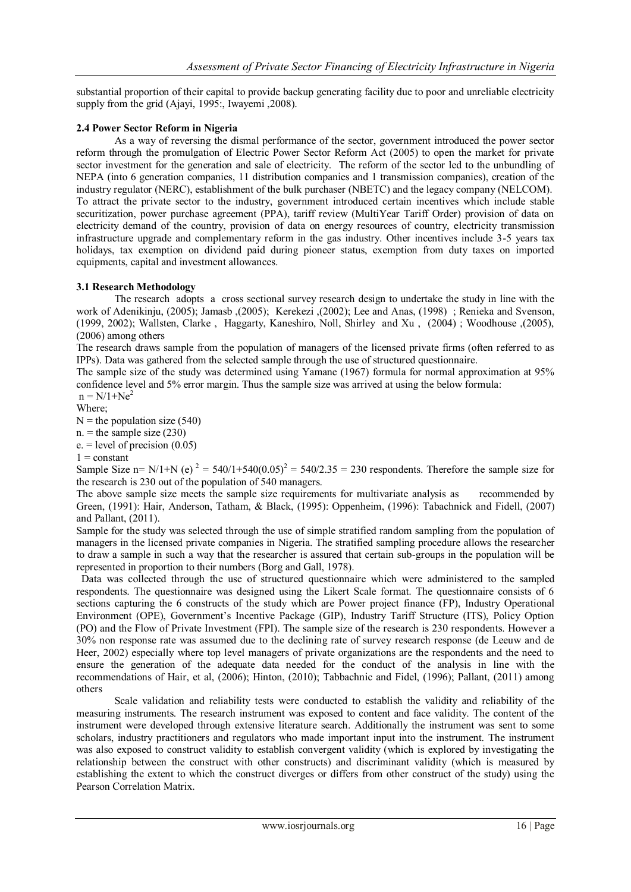substantial proportion of their capital to provide backup generating facility due to poor and unreliable electricity supply from the grid (Ajayi, 1995:, Iwayemi ,2008).

# **2.4 Power Sector Reform in Nigeria**

As a way of reversing the dismal performance of the sector, government introduced the power sector reform through the promulgation of Electric Power Sector Reform Act (2005) to open the market for private sector investment for the generation and sale of electricity. The reform of the sector led to the unbundling of NEPA (into 6 generation companies, 11 distribution companies and 1 transmission companies), creation of the industry regulator (NERC), establishment of the bulk purchaser (NBETC) and the legacy company (NELCOM). To attract the private sector to the industry, government introduced certain incentives which include stable securitization, power purchase agreement (PPA), tariff review (MultiYear Tariff Order) provision of data on electricity demand of the country, provision of data on energy resources of country, electricity transmission infrastructure upgrade and complementary reform in the gas industry. Other incentives include 3-5 years tax holidays, tax exemption on dividend paid during pioneer status, exemption from duty taxes on imported equipments, capital and investment allowances.

# **3.1 Research Methodology**

The research adopts a cross sectional survey research design to undertake the study in line with the work of Adenikinju, (2005); Jamasb ,(2005); Kerekezi ,(2002); Lee and Anas, (1998) ; Renieka and Svenson, (1999, 2002); Wallsten, Clarke , Haggarty, Kaneshiro, Noll, Shirley and Xu , (2004) ; Woodhouse ,(2005), (2006) among others

The research draws sample from the population of managers of the licensed private firms (often referred to as IPPs). Data was gathered from the selected sample through the use of structured questionnaire.

The sample size of the study was determined using Yamane (1967) formula for normal approximation at 95% confidence level and 5% error margin. Thus the sample size was arrived at using the below formula:

 $n = N/1 + Ne<sup>2</sup>$ 

Where;  $N =$  the population size (540)

 $n =$  the sample size (230)

 $e. = level of precision (0.05)$ 

 $1 = constant$ 

Sample Size n= N/1+N (e)  $^{2}$  = 540/1+540(0.05)<sup>2</sup> = 540/2.35 = 230 respondents. Therefore the sample size for the research is 230 out of the population of 540 managers.

The above sample size meets the sample size requirements for multivariate analysis as recommended by Green, (1991): Hair, Anderson, Tatham, & Black, (1995): Oppenheim, (1996): Tabachnick and Fidell, (2007) and Pallant, (2011).

Sample for the study was selected through the use of simple stratified random sampling from the population of managers in the licensed private companies in Nigeria. The stratified sampling procedure allows the researcher to draw a sample in such a way that the researcher is assured that certain sub-groups in the population will be represented in proportion to their numbers (Borg and Gall, 1978).

 Data was collected through the use of structured questionnaire which were administered to the sampled respondents. The questionnaire was designed using the Likert Scale format. The questionnaire consists of 6 sections capturing the 6 constructs of the study which are Power project finance (FP), Industry Operational Environment (OPE), Government"s Incentive Package (GIP), Industry Tariff Structure (ITS), Policy Option (PO) and the Flow of Private Investment (FPI). The sample size of the research is 230 respondents. However a 30% non response rate was assumed due to the declining rate of survey research response (de Leeuw and de Heer, 2002) especially where top level managers of private organizations are the respondents and the need to ensure the generation of the adequate data needed for the conduct of the analysis in line with the recommendations of Hair, et al, (2006); Hinton, (2010); Tabbachnic and Fidel, (1996); Pallant, (2011) among others

Scale validation and reliability tests were conducted to establish the validity and reliability of the measuring instruments. The research instrument was exposed to content and face validity. The content of the instrument were developed through extensive literature search. Additionally the instrument was sent to some scholars, industry practitioners and regulators who made important input into the instrument. The instrument was also exposed to construct validity to establish convergent validity (which is explored by investigating the relationship between the construct with other constructs) and discriminant validity (which is measured by establishing the extent to which the construct diverges or differs from other construct of the study) using the Pearson Correlation Matrix.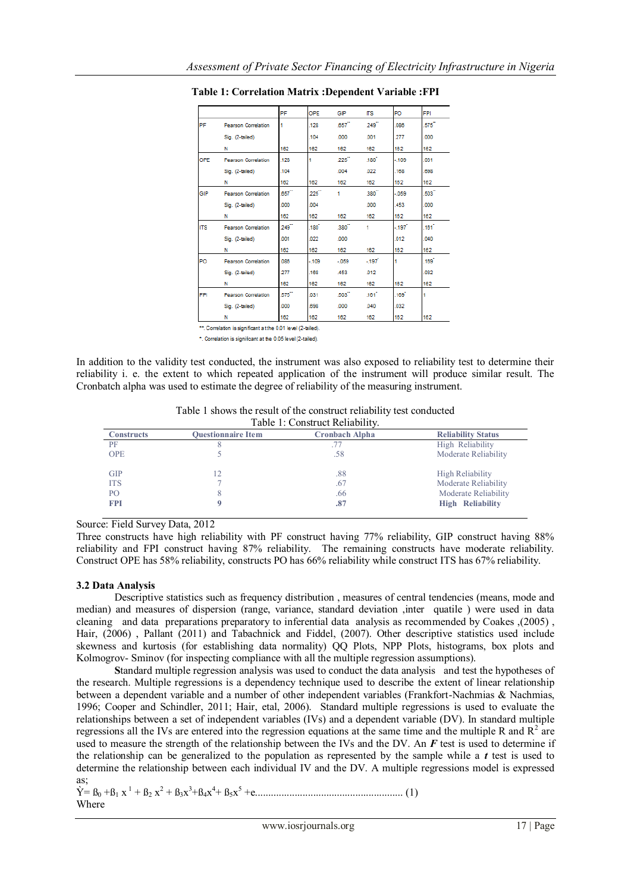|            |                            | PF                   | OPE               | GIP        | ΠS.               | PO                | <b>FPI</b> |
|------------|----------------------------|----------------------|-------------------|------------|-------------------|-------------------|------------|
| PF         | Pearson Correlation        |                      | .128              | .657       | 249               | .086              | .575       |
|            | Sig. (2-tailed)            |                      | .104              | .000       | .001              | .277              | .000       |
|            | N                          | 162                  | 162               | 162        | 162               | 162               | 162        |
| OPE        | <b>Pearson Correlation</b> | .128                 |                   | 225        | .180 <sup>7</sup> | $-109$            | .031       |
|            | Sig. (2-tailed)            | .104                 |                   | .004       | .022              | .168              | .698       |
|            | N                          | 162                  | 162               | 162        | 162               | 162               | 162        |
| GIP        | <b>Pearson Correlation</b> | $.657$ <sup>**</sup> | $225^{\circ}$     | 1          | .380              | $-059$            | .503       |
|            | Sig. (2-tailed)            | ,000                 | .004              |            | .000              | .453              | .000       |
|            | N                          | 162                  | 162               | 162        | 162               | 162               | 162        |
| <b>ITS</b> | <b>Pearson Correlation</b> | 249                  | .180 <sup>7</sup> | $380-1$    |                   | $-197$            | ,161       |
|            | Sig. (2-tailed)            | .001                 | .022              | .000       |                   | .012              | 040        |
|            | N                          | 162                  | 162               | 162        | 162               | 162               | 162        |
| PO         | <b>Pearson Correlation</b> | .086                 | $-109$            | $-059$     | $-197$            |                   | .169       |
|            | Sig. (2-tailed)            | 277                  | .168              | <b>A53</b> | .012              |                   | 032        |
|            | N                          | 162                  | 162               | 162        | 162               | 162               | 162        |
| <b>FPI</b> | <b>Pearson Correlation</b> | .575                 | 031               | $.503 -$   | .161              | .169 <sup>°</sup> |            |
|            | Sig. (2-tailed)            | .000                 | 698               | .000       | .040              | .032              |            |
|            | N                          | 182                  | 182               | 182        | 182               | 162               | 162        |

**Table 1: Correlation Matrix :Dependent Variable :FPI**

\*\*. Correlation is significant at the 0.01 level (2-tailed).

\*. Correlation is significant at the 0.05 level (2-tailed).

In addition to the validity test conducted, the instrument was also exposed to reliability test to determine their reliability i. e. the extent to which repeated application of the instrument will produce similar result. The Cronbatch alpha was used to estimate the degree of reliability of the measuring instrument.

Table 1 shows the result of the construct reliability test conducted Table 1: Construct Reliability.

| <b>Constructs</b> | <b>Ouestionnaire Item</b> | <b>Cronbach Alpha</b> | <b>Reliability Status</b> |
|-------------------|---------------------------|-----------------------|---------------------------|
| PF                |                           |                       | High Reliability          |
| <b>OPE</b>        |                           | .58                   | Moderate Reliability      |
| <b>GIP</b>        | 12                        | .88                   | High Reliability          |
| <b>ITS</b>        |                           | .67                   | Moderate Reliability      |
| PO.               |                           | .66                   | Moderate Reliability      |
| <b>FPI</b>        |                           | .87                   | <b>High Reliability</b>   |

Source: Field Survey Data, 2012

Three constructs have high reliability with PF construct having 77% reliability, GIP construct having 88% reliability and FPI construct having 87% reliability. The remaining constructs have moderate reliability. Construct OPE has 58% reliability, constructs PO has 66% reliability while construct ITS has 67% reliability.

# **3.2 Data Analysis**

Descriptive statistics such as frequency distribution , measures of central tendencies (means, mode and median) and measures of dispersion (range, variance, standard deviation ,inter quatile ) were used in data cleaning and data preparations preparatory to inferential data analysis as recommended by Coakes ,(2005) , Hair, (2006) , Pallant (2011) and Tabachnick and Fiddel, (2007). Other descriptive statistics used include skewness and kurtosis (for establishing data normality) QQ Plots, NPP Plots, histograms, box plots and Kolmogrov- Sminov (for inspecting compliance with all the multiple regression assumptions).

**S**tandard multiple regression analysis was used to conduct the data analysis and test the hypotheses of the research. Multiple regressions is a dependency technique used to describe the extent of linear relationship between a dependent variable and a number of other independent variables (Frankfort-Nachmias & Nachmias, 1996; Cooper and Schindler, 2011; Hair, etal, 2006). Standard multiple regressions is used to evaluate the relationships between a set of independent variables (IVs) and a dependent variable (DV). In standard multiple regressions all the IVs are entered into the regression equations at the same time and the multiple R and  $R^2$  are used to measure the strength of the relationship between the IVs and the DV. An *F* test is used to determine if the relationship can be generalized to the population as represented by the sample while a *t* test is used to determine the relationship between each individual IV and the DV. A multiple regressions model is expressed as;

```
\dot{Y} = B_0 + B_1 x^1 + B_2 x^2 + B_3 x^3 + B_4 x^4 + B_5 x^5 + \dots
(1)
Where
```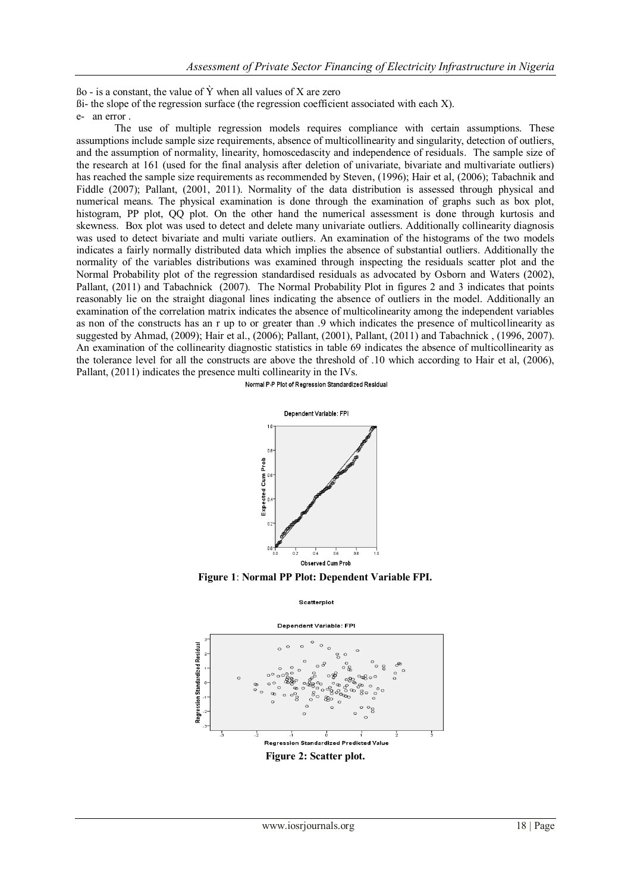$\beta$ o - is a constant, the value of  $\hat{Y}$  when all values of X are zero

ßi- the slope of the regression surface (the regression coefficient associated with each X).

e- an error .

The use of multiple regression models requires compliance with certain assumptions. These assumptions include sample size requirements, absence of multicollinearity and singularity, detection of outliers, and the assumption of normality, linearity, homoscedascity and independence of residuals. The sample size of the research at 161 (used for the final analysis after deletion of univariate, bivariate and multivariate outliers) has reached the sample size requirements as recommended by Steven, (1996); Hair et al, (2006); Tabachnik and Fiddle (2007); Pallant, (2001, 2011). Normality of the data distribution is assessed through physical and numerical means. The physical examination is done through the examination of graphs such as box plot, histogram, PP plot, QQ plot. On the other hand the numerical assessment is done through kurtosis and skewness. Box plot was used to detect and delete many univariate outliers. Additionally collinearity diagnosis was used to detect bivariate and multi variate outliers. An examination of the histograms of the two models indicates a fairly normally distributed data which implies the absence of substantial outliers. Additionally the normality of the variables distributions was examined through inspecting the residuals scatter plot and the Normal Probability plot of the regression standardised residuals as advocated by Osborn and Waters (2002), Pallant, (2011) and Tabachnick (2007). The Normal Probability Plot in figures 2 and 3 indicates that points reasonably lie on the straight diagonal lines indicating the absence of outliers in the model. Additionally an examination of the correlation matrix indicates the absence of multicolinearity among the independent variables as non of the constructs has an r up to or greater than .9 which indicates the presence of multicollinearity as suggested by Ahmad, (2009); Hair et al., (2006); Pallant, (2001), Pallant, (2011) and Tabachnick , (1996, 2007). An examination of the collinearity diagnostic statistics in table 69 indicates the absence of multicollinearity as the tolerance level for all the constructs are above the threshold of .10 which according to Hair et al, (2006), Pallant, (2011) indicates the presence multi collinearity in the IVs.

Normal P-P Plot of Regression Standardized Residual



**Figure 1**: **Normal PP Plot: Dependent Variable FPI.**

Scatterniot

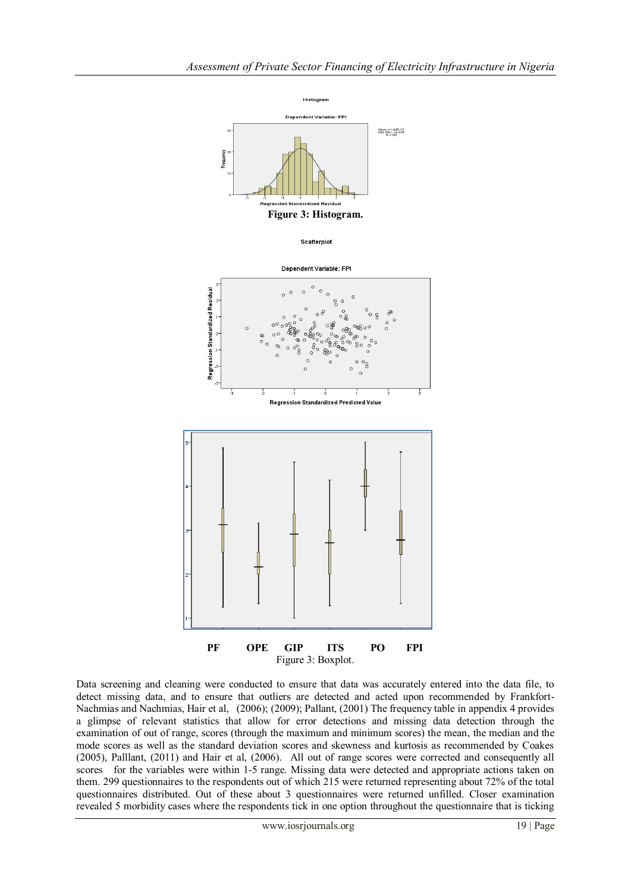

Data screening and cleaning were conducted to ensure that data was accurately entered into the data file, to detect missing data, and to ensure that outliers are detected and acted upon recommended by Frankfort-Nachmias and Nachmias, Hair et al, (2006); (2009); Pallant, (2001) The frequency table in appendix 4 provides a glimpse of relevant statistics that allow for error detections and missing data detection through the examination of out of range, scores (through the maximum and minimum scores) the mean, the median and the mode scores as well as the standard deviation scores and skewness and kurtosis as recommended by Coakes (2005), Palllant, (2011) and Hair et al, (2006). All out of range scores were corrected and consequently all scores for the variables were within 1-5 range. Missing data were detected and appropriate actions taken on them. 299 questionnaires to the respondents out of which 215 were returned representing about 72% of the total questionnaires distributed. Out of these about 3 questionnaires were returned unfilled. Closer examination revealed 5 morbidity cases where the respondents tick in one option throughout the questionnaire that is ticking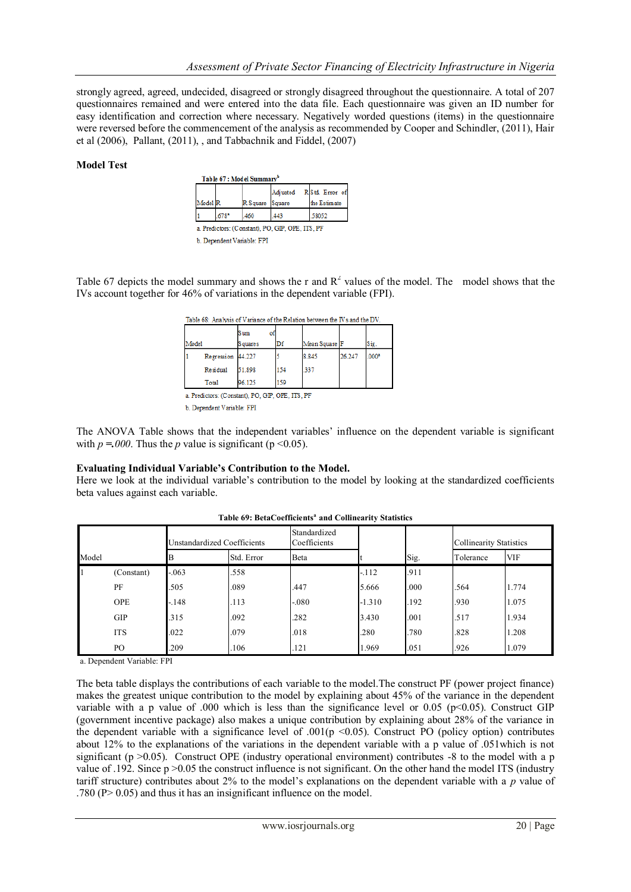strongly agreed, agreed, undecided, disagreed or strongly disagreed throughout the questionnaire. A total of 207 questionnaires remained and were entered into the data file. Each questionnaire was given an ID number for easy identification and correction where necessary. Negatively worded questions (items) in the questionnaire were reversed before the commencement of the analysis as recommended by Cooper and Schindler, (2011), Hair et al (2006), Pallant, (2011), , and Tabbachnik and Fiddel, (2007)

## **Model Test**

|                    |      |          | Adjusted | R Std. Error of |
|--------------------|------|----------|----------|-----------------|
| Model <sub>R</sub> |      | R Square | Square   | the Estimate    |
|                    | 678* | .460     | 443      | 58052           |

b. Dependent Variable: FPI

Table 67 depicts the model summary and shows the r and  $R^2$  values of the model. The model shows that the IVs account together for 46% of variations in the dependent variable (FPI).

|       |                   | Sum<br>of |     |               |        |                   |
|-------|-------------------|-----------|-----|---------------|--------|-------------------|
| Model |                   | S quare s | Di  | Mean Square F |        | Sig.              |
|       | Regression 44.227 |           |     | 8.845         | 26.247 | .000 <sup>2</sup> |
|       | Residual          | 51.898    | 154 | .337          |        |                   |
|       | Total             | 96.125    | 159 |               |        |                   |

a. Predictors: (Constant), PO, GIP, OPE, ITS, PF

b. Dependent Variable: FPI

The ANOVA Table shows that the independent variables" influence on the dependent variable is significant with  $p = 000$ . Thus the *p* value is significant ( $p \le 0.05$ ).

## **Evaluating Individual Variable's Contribution to the Model.**

Here we look at the individual variable's contribution to the model by looking at the standardized coefficients beta values against each variable.

|                | Jnstandardized Coefficients |         |            | Standardized<br>Coefficients |          |      | <b>Collinearity Statistics</b> |            |
|----------------|-----------------------------|---------|------------|------------------------------|----------|------|--------------------------------|------------|
| Model          |                             |         | Std. Error | Beta                         |          | Sig. | Tolerance                      | <b>VIF</b> |
| $\overline{1}$ | (Constant)                  | $-.063$ | .558       |                              | $-112$   | .911 |                                |            |
|                | PF                          | .505    | .089       | .447                         | 5.666    | .000 | .564                           | 1.774      |
|                | <b>OPE</b>                  | $-.148$ | .113       | $-080$                       | $-1.310$ | .192 | .930                           | 1.075      |
|                | <b>GIP</b>                  | .315    | .092       | .282                         | 3.430    | .001 | .517                           | 1.934      |
|                | <b>ITS</b>                  | .022    | .079       | .018                         | .280     | .780 | .828                           | 1.208      |
|                | PO.                         | .209    | .106       | .121                         | 1.969    | .051 | .926                           | 1.079      |

|  | Table 69: BetaCoefficients <sup>ª</sup> and Collinearity Statistics |  |  |
|--|---------------------------------------------------------------------|--|--|
|--|---------------------------------------------------------------------|--|--|

a. Dependent Variable: FPI

The beta table displays the contributions of each variable to the model.The construct PF (power project finance) makes the greatest unique contribution to the model by explaining about 45% of the variance in the dependent variable with a p value of .000 which is less than the significance level or 0.05 (p<0.05). Construct GIP (government incentive package) also makes a unique contribution by explaining about 28% of the variance in the dependent variable with a significance level of .001( $p$  <0.05). Construct PO (policy option) contributes about 12% to the explanations of the variations in the dependent variable with a p value of .051which is not significant ( $p > 0.05$ ). Construct OPE (industry operational environment) contributes -8 to the model with a p value of .192. Since p >0.05 the construct influence is not significant. On the other hand the model ITS (industry tariff structure) contributes about 2% to the model"s explanations on the dependent variable with a *p* value of .780 (P> 0.05) and thus it has an insignificant influence on the model.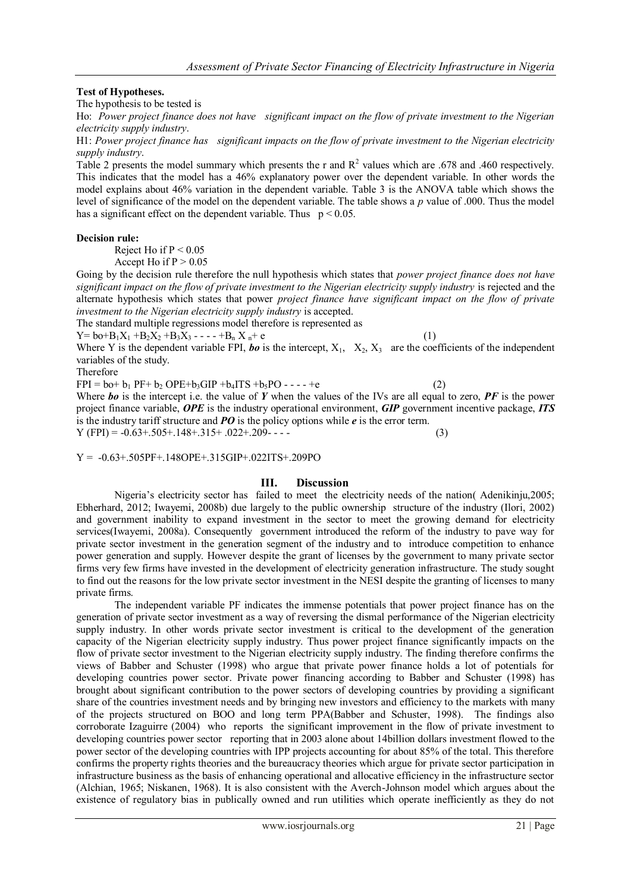## **Test of Hypotheses.**

The hypothesis to be tested is

Ho: *Power project finance does not have significant impact on the flow of private investment to the Nigerian electricity supply industry*.

H1: *Power project finance has significant impacts on the flow of private investment to the Nigerian electricity supply industry*.

Table 2 presents the model summary which presents the r and  $R^2$  values which are .678 and .460 respectively. This indicates that the model has a 46% explanatory power over the dependent variable. In other words the model explains about 46% variation in the dependent variable. Table 3 is the ANOVA table which shows the level of significance of the model on the dependent variable. The table shows a *p* value of .000. Thus the model has a significant effect on the dependent variable. Thus  $p < 0.05$ .

#### **Decision rule:**

Reject Ho if  $P < 0.05$ 

Accept Ho if  $P > 0.05$ 

Going by the decision rule therefore the null hypothesis which states that *power project finance does not have significant impact on the flow of private investment to the Nigerian electricity supply industry* is rejected and the alternate hypothesis which states that power *project finance have significant impact on the flow of private investment to the Nigerian electricity supply industry* is accepted.

The standard multiple regressions model therefore is represented as

 $Y = b_0 + B_1X_1 + B_2X_2 + B_3X_3 - \cdots + B_nX_n + e$  (1)

Where Y is the dependent variable FPI, *bo* is the intercept,  $X_1$ ,  $X_2$ ,  $X_3$  are the coefficients of the independent variables of the study.

Therefore

 $FPI = b0 + b1 PF + b2 OPE + b3 GIP + b4 ITS + b3 PO - - - +e$  (2)

Where *bo* is the intercept i.e. the value of *Y* when the values of the IVs are all equal to zero, *PF* is the power project finance variable, *OPE* is the industry operational environment, *GIP* government incentive package, *ITS* is the industry tariff structure and *PO* is the policy options while *e* is the error term.

 $Y (FPI) = 0.63 + 0.505 + 0.148 + 0.315 + 0.022 + 0.209 - 0.63 + 0.63 + 0.63 + 0.63 + 0.63 + 0.63 + 0.63 + 0.63 + 0.63 + 0.63 + 0.63 + 0.63 + 0.63 + 0.63 + 0.63 + 0.63 + 0.63 + 0.63 + 0.63 + 0.63 + 0.63 + 0.63 + 0.63 + 0.63 + 0.63 + 0.63 + 0.63 + 0.63 + 0.63$ 

 $Y = -0.63 + .505PF + .148OPE + .315GIP + .022ITS + .209PO$ 

## **III. Discussion**

Nigeria's electricity sector has failed to meet the electricity needs of the nation(Adenikinju,2005; Ebherhard, 2012; Iwayemi, 2008b) due largely to the public ownership structure of the industry (Ilori, 2002) and government inability to expand investment in the sector to meet the growing demand for electricity services(Iwayemi, 2008a). Consequently government introduced the reform of the industry to pave way for private sector investment in the generation segment of the industry and to introduce competition to enhance power generation and supply. However despite the grant of licenses by the government to many private sector firms very few firms have invested in the development of electricity generation infrastructure. The study sought to find out the reasons for the low private sector investment in the NESI despite the granting of licenses to many private firms.

The independent variable PF indicates the immense potentials that power project finance has on the generation of private sector investment as a way of reversing the dismal performance of the Nigerian electricity supply industry. In other words private sector investment is critical to the development of the generation capacity of the Nigerian electricity supply industry. Thus power project finance significantly impacts on the flow of private sector investment to the Nigerian electricity supply industry. The finding therefore confirms the views of Babber and Schuster (1998) who argue that private power finance holds a lot of potentials for developing countries power sector. Private power financing according to Babber and Schuster (1998) has brought about significant contribution to the power sectors of developing countries by providing a significant share of the countries investment needs and by bringing new investors and efficiency to the markets with many of the projects structured on BOO and long term PPA(Babber and Schuster, 1998). The findings also corroborate Izaguirre (2004) who reports the significant improvement in the flow of private investment to developing countries power sector reporting that in 2003 alone about 14billion dollars investment flowed to the power sector of the developing countries with IPP projects accounting for about 85% of the total. This therefore confirms the property rights theories and the bureaucracy theories which argue for private sector participation in infrastructure business as the basis of enhancing operational and allocative efficiency in the infrastructure sector (Alchian, 1965; Niskanen, 1968). It is also consistent with the Averch-Johnson model which argues about the existence of regulatory bias in publically owned and run utilities which operate inefficiently as they do not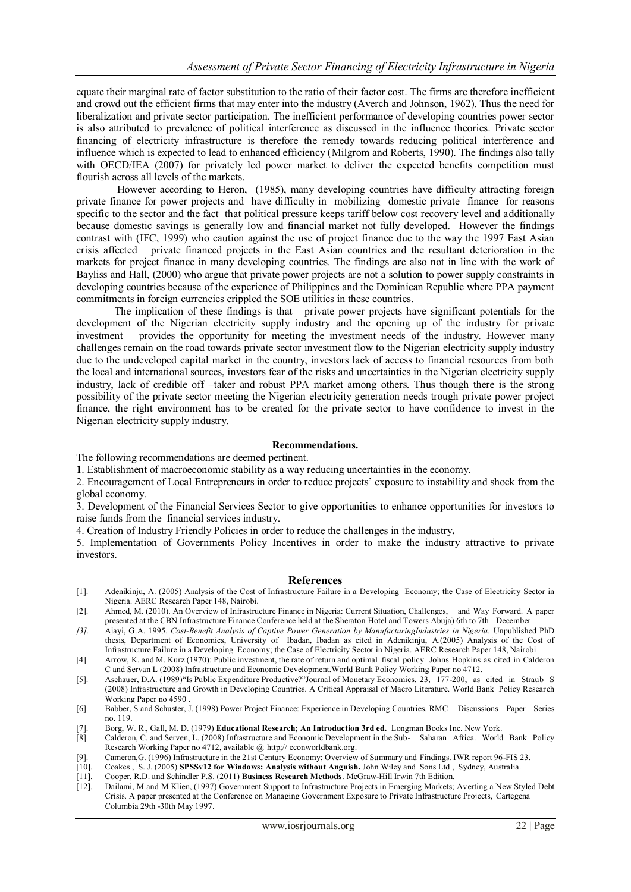equate their marginal rate of factor substitution to the ratio of their factor cost. The firms are therefore inefficient and crowd out the efficient firms that may enter into the industry (Averch and Johnson, 1962). Thus the need for liberalization and private sector participation. The inefficient performance of developing countries power sector is also attributed to prevalence of political interference as discussed in the influence theories. Private sector financing of electricity infrastructure is therefore the remedy towards reducing political interference and influence which is expected to lead to enhanced efficiency (Milgrom and Roberts, 1990). The findings also tally with OECD/IEA (2007) for privately led power market to deliver the expected benefits competition must flourish across all levels of the markets.

However according to Heron, (1985), many developing countries have difficulty attracting foreign private finance for power projects and have difficulty in mobilizing domestic private finance for reasons specific to the sector and the fact that political pressure keeps tariff below cost recovery level and additionally because domestic savings is generally low and financial market not fully developed. However the findings contrast with (IFC, 1999) who caution against the use of project finance due to the way the 1997 East Asian crisis affected private financed projects in the East Asian countries and the resultant deterioration in the markets for project finance in many developing countries. The findings are also not in line with the work of Bayliss and Hall, (2000) who argue that private power projects are not a solution to power supply constraints in developing countries because of the experience of Philippines and the Dominican Republic where PPA payment commitments in foreign currencies crippled the SOE utilities in these countries.

The implication of these findings is that private power projects have significant potentials for the development of the Nigerian electricity supply industry and the opening up of the industry for private investment provides the opportunity for meeting the investment needs of the industry. However many challenges remain on the road towards private sector investment flow to the Nigerian electricity supply industry due to the undeveloped capital market in the country, investors lack of access to financial resources from both the local and international sources, investors fear of the risks and uncertainties in the Nigerian electricity supply industry, lack of credible off –taker and robust PPA market among others. Thus though there is the strong possibility of the private sector meeting the Nigerian electricity generation needs trough private power project finance, the right environment has to be created for the private sector to have confidence to invest in the Nigerian electricity supply industry.

#### **Recommendations.**

The following recommendations are deemed pertinent.

**1**. Establishment of macroeconomic stability as a way reducing uncertainties in the economy.

2. Encouragement of Local Entrepreneurs in order to reduce projects" exposure to instability and shock from the global economy.

3. Development of the Financial Services Sector to give opportunities to enhance opportunities for investors to raise funds from the financial services industry.

4. Creation of Industry Friendly Policies in order to reduce the challenges in the industry**.**

5. Implementation of Governments Policy Incentives in order to make the industry attractive to private investors.

#### **References**

- [1]. Adenikinju, A. (2005) Analysis of the Cost of Infrastructure Failure in a Developing Economy; the Case of Electricity Sector in Nigeria. AERC Research Paper 148, Nairobi.
- [2]. Ahmed, M. (2010). An Overview of Infrastructure Finance in Nigeria: Current Situation, Challenges, and Way Forward. A paper presented at the CBN Infrastructure Finance Conference held at the Sheraton Hotel and Towers Abuja) 6th to 7th December
- *[3].* Ajayi, G.A. 1995. *Cost-Benefit Analysis of Captive Power Generation by ManufacturingIndustries in Nigeria.* Unpublished PhD thesis, Department of Economics, University of Ibadan, Ibadan as cited in Adenikinju, A.(2005) Analysis of the Cost of Infrastructure Failure in a Developing Economy; the Case of Electricity Sector in Nigeria. AERC Research Paper 148, Nairobi
- [4]. Arrow, K. and M. Kurz (1970): Public investment, the rate of return and optimal fiscal policy. Johns Hopkins as cited in Calderon C and Servan L (2008) Infrastructure and Economic Development.World Bank Policy Working Paper no 4712.
- [5]. Aschauer, D.A. (1989)"Is Public Expenditure Productive?"Journal of Monetary Economics, 23, 177-200, as cited in Straub S (2008) Infrastructure and Growth in Developing Countries. A Critical Appraisal of Macro Literature. World Bank Policy Research Working Paper no 4590 .
- [6]. Babber, S and Schuster, J. (1998) Power Project Finance: Experience in Developing Countries. RMC Discussions Paper Series no. 119.
- [7]. Borg, W. R., Gall, M. D. (1979) **Educational Research; An Introduction 3rd ed.** Longman Books Inc. New York.
- [8]. Calderon, C. and Serven, L. (2008) Infrastructure and Economic Development in the Sub- Saharan Africa. World Bank Policy Research Working Paper no 4712, available @ http;// econworldbank.org.
- [9]. Cameron,G. (1996) Infrastructure in the 21st Century Economy; Overview of Summary and Findings. IWR report 96-FIS 23.<br>[10]. Coakes . S. J. (2005) SPSSv12 for Windows: Analysis without Anguish. John Wiley and Sons Ltd.
- [10]. Coakes , S. J. (2005) **SPSSv12 for Windows: Analysis without Anguish.** John Wiley and Sons Ltd , Sydney, Australia.
- [11]. Cooper, R.D. and Schindler P.S. (2011) **Business Research Methods**. McGraw-Hill Irwin 7th Edition.
- [12]. Dailami, M and M Klien, (1997) Government Support to Infrastructure Projects in Emerging Markets; Averting a New Styled Debt Crisis. A paper presented at the Conference on Managing Government Exposure to Private Infrastructure Projects, Cartegena Columbia 29th -30th May 1997.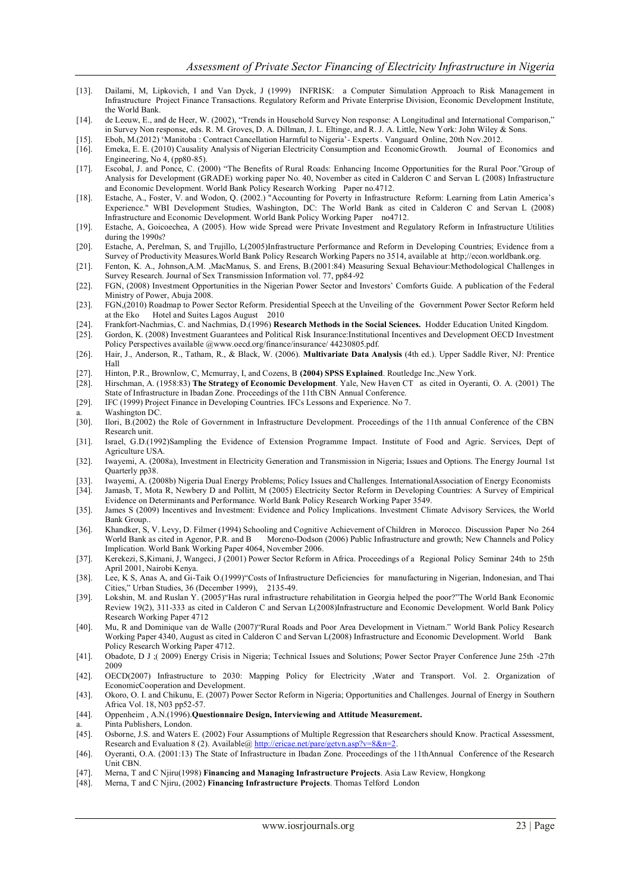- [13]. Dailami, M, Lipkovich, I and Van Dyck, J (1999) INFRISK: a Computer Simulation Approach to Risk Management in Infrastructure Project Finance Transactions. Regulatory Reform and Private Enterprise Division, Economic Development Institute, the World Bank.
- [14]. de Leeuw, E., and de Heer, W. (2002), "Trends in Household Survey Non response: A Longitudinal and International Comparison," in Survey Non response, eds. R. M. Groves, D. A. Dillman, J. L. Eltinge, and R. J. A. Little, New York: John Wiley & Sons.
- [15]. Eboh, M.(2012) "Manitoba : Contract Cancellation Harmful to Nigeria"- Experts . Vanguard Online, 20th Nov.2012.
- [16]. Emeka, E. E. (2010) Causality Analysis of Nigerian Electricity Consumption and EconomicGrowth. Journal of Economics and Engineering, No 4, (pp80-85).
- [17]. Escobal, J. and Ponce, C. (2000) "The Benefits of Rural Roads: Enhancing Income Opportunities for the Rural Poor."Group of Analysis for Development (GRADE) working paper No. 40, November as cited in Calderon C and Servan L (2008) Infrastructure and Economic Development. World Bank Policy Research Working Paper no.4712.
- [18]. Estache, A., Foster, V. and Wodon, Q. (2002.) "Accounting for Poverty in Infrastructure Reform: Learning from Latin America"s Experience." WBI Development Studies, Washington, DC: The World Bank as cited in Calderon C and Servan L (2008) Infrastructure and Economic Development. World Bank Policy Working Paper no4712.
- [19]. Estache, A, Goicoechea, A (2005). How wide Spread were Private Investment and Regulatory Reform in Infrastructure Utilities during the 1990s?
- [20]. Estache, A, Perelman, S, and Trujillo, L(2005)Infrastructure Performance and Reform in Developing Countries; Evidence from a Survey of Productivity Measures.World Bank Policy Research Working Papers no 3514, available at http;//econ.worldbank.org.
- [21]. Fenton, K. A., Johnson,A.M. ,MacManus, S. and Erens, B.(2001:84) Measuring Sexual Behaviour:Methodological Challenges in Survey Research. Journal of Sex Transmission Information vol. 77, pp84-92
- [22]. FGN, (2008) Investment Opportunities in the Nigerian Power Sector and Investors" Comforts Guide. A publication of the Federal Ministry of Power, Abuja 2008.
- [23]. FGN,(2010) Roadmap to Power Sector Reform. Presidential Speech at the Unveiling of the Government Power Sector Reform held at the Eko Hotel and Suites Lagos August 2010
- [24]. Frankfort-Nachmias, C. and Nachmias, D.(1996) **Research Methods in the Social Sciences.** Hodder Education United Kingdom.
- [25]. Gordon, K. (2008) Investment Guarantees and Political Risk Insurance:Institutional Incentives and Development OECD Investment Policy Perspectives available @www.oecd.org/finance/insurance/ 44230805.pdf.
- [26]. Hair, J., Anderson, R., Tatham, R., & Black, W. (2006). **Multivariate Data Analysis** (4th ed.). Upper Saddle River, NJ: Prentice Hall
- [27]. Hinton, P.R., Brownlow, C, Mcmurray, I, and Cozens, B **(2004) SPSS Explained**. Routledge Inc.,New York.
- [28]. Hirschman, A. (1958:83) **The Strategy of Economic Development**. Yale, New Haven CT as cited in Oyeranti, O. A. (2001) The State of Infrastructure in Ibadan Zone. Proceedings of the 11th CBN Annual Conference.
- [29]. IFC (1999) Project Finance in Developing Countries. IFCs Lessons and Experience. No 7.
- a. Washington DC<br>[30]. Ilori, B.(2002) 1
- [30]. Ilori, B.(2002) the Role of Government in Infrastructure Development. Proceedings of the 11th annual Conference of the CBN Research unit.
- [31]. Israel, G.D.(1992)Sampling the Evidence of Extension Programme Impact. Institute of Food and Agric. Services, Dept of Agriculture USA.
- [32]. Iwayemi, A. (2008a), Investment in Electricity Generation and Transmission in Nigeria; Issues and Options. The Energy Journal 1st Quarterly pp38.
- [33]. Iwayemi, A. (2008b) Nigeria Dual Energy Problems; Policy Issues and Challenges. InternationalAssociation of Energy Economists [34]. Jamasb, T, Mota R, Newbery D and Pollitt, M (2005) Electricity Sector Reform in Developing Countries: A Survey of Empirical
- Evidence on Determinants and Performance. World Bank Policy Research Working Paper 3549.
- [35]. James S (2009) Incentives and Investment: Evidence and Policy Implications. Investment Climate Advisory Services, the World Bank Group..
- [36]. Khandker, S, V. Levy, D. Filmer (1994) Schooling and Cognitive Achievement of Children in Morocco. Discussion Paper No 264 Moreno-Dodson (2006) Public Infrastructure and growth; New Channels and Policy Implication. World Bank Working Paper 4064, November 2006.
- [37]. Kerekezi, S,Kimani, J, Wangeci, J (2001) Power Sector Reform in Africa. Proceedings of a Regional Policy Seminar 24th to 25th April 2001, Nairobi Kenya.
- [38]. Lee, K S, Anas A, and Gi-Taik O.(1999)"Costs of Infrastructure Deficiencies for manufacturing in Nigerian, Indonesian, and Thai Cities," Urban Studies, 36 (December 1999), 2135-49.
- [39]. Lokshin, M. and Ruslan Y. (2005)"Has rural infrastructure rehabilitation in Georgia helped the poor?"The World Bank Economic Review 19(2), 311-333 as cited in Calderon C and Servan L(2008)Infrastructure and Economic Development. World Bank Policy Research Working Paper 4712
- [40]. Mu, R and Dominique van de Walle (2007)"Rural Roads and Poor Area Development in Vietnam." World Bank Policy Research Working Paper 4340, August as cited in Calderon C and Servan L(2008) Infrastructure and Economic Development. World Bank Policy Research Working Paper 4712.
- [41]. Obadote, D J ;( 2009) Energy Crisis in Nigeria; Technical Issues and Solutions; Power Sector Prayer Conference June 25th -27th 2009
- [42]. OECD(2007) Infrastructure to 2030: Mapping Policy for Electricity ,Water and Transport. Vol. 2. Organization of EconomicCooperation and Development.
- [43]. Okoro, O. I. and Chikunu, E. (2007) Power Sector Reform in Nigeria; Opportunities and Challenges. Journal of Energy in Southern Africa Vol. 18, N03 pp52-57.
- [44]. Oppenheim , A.N.(1996).**Questionnaire Design, Interviewing and Attitude Measurement.**
- Pinta Publishers, London.
- [45]. Osborne, J.S. and Waters E. (2002) Four Assumptions of Multiple Regression that Researchers should Know. Practical Assessment, Research and Evaluation 8 (2). Available[@ http://ericae.net/pare/getvn.asp?v=8&n=2.](http://ericae.net/pare/getvn.asp?v=8&n=2)
- [46]. Oyeranti, O.A. (2001:13) The State of Infrastructure in Ibadan Zone. Proceedings of the 11thAnnual Conference of the Research Unit CBN.
- [47]. Merna, T and C Njiru(1998) **Financing and Managing Infrastructure Projects**. Asia Law Review, Hongkong
- [48]. Merna, T and C Njiru, (2002) **Financing Infrastructure Projects**. Thomas Telford London